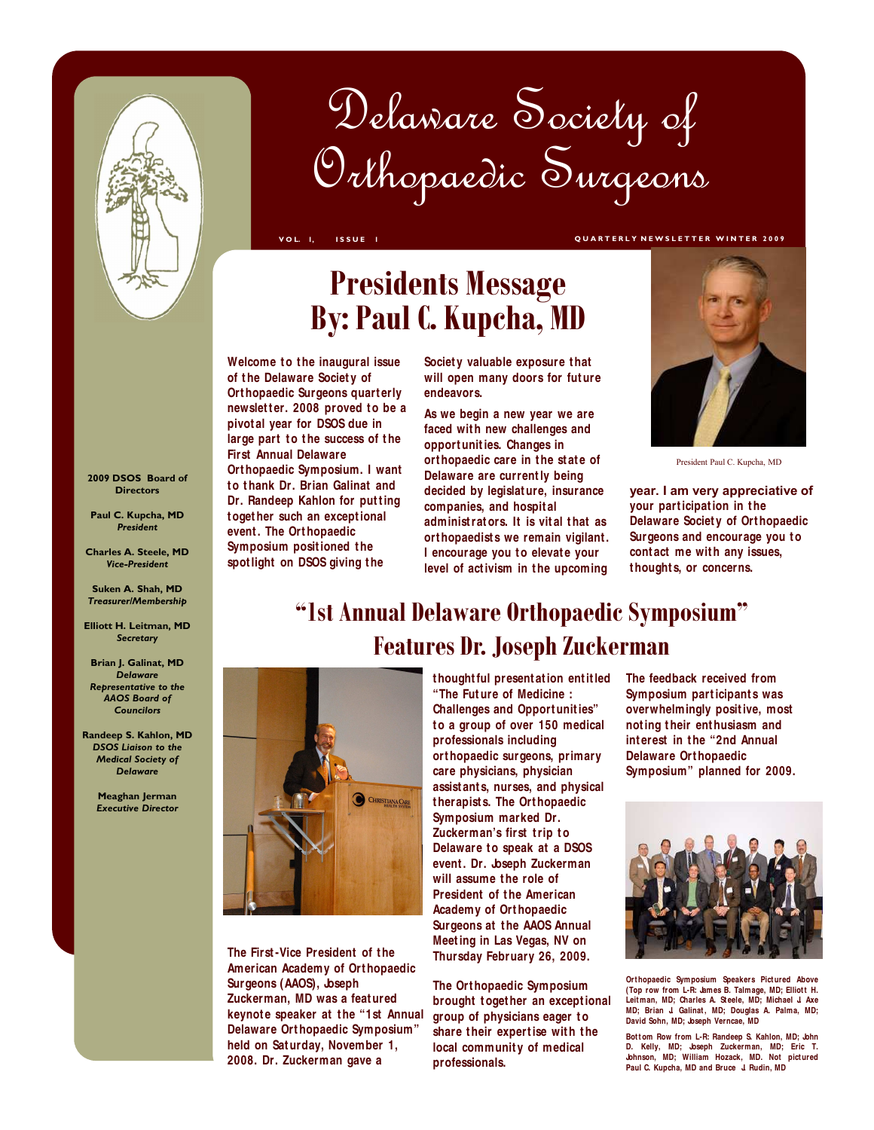

# Orthopaedic Surgeons Delaware Society of

**VOL. 1, ISSUE 1 QUARTERLY NEWSLETTER WINTER 2009** 

# **Presidents Message By: Paul C. Kupcha, MD**

**Welcome t o t he inaugural issue of t he Delaware Societ y of Ort hopaedic Surgeons quart erly newsletter. 2008 proved to be a pivot al year for DSOS due in**  large part to the success of the **First Annual Delaware Ort hopaedic Symposium. I want t o t hank Dr. Brian Galinat and Dr. Randeep Kahlon for putting t oget her such an except ional event . The Ort hopaedic Symposium positioned the spot light on DSOS giving t he**

**Societ y valuable exposure t hat will open many doors for fut ure endeavors.**

**As we begin a new year we are**  faced with new challenges and **opport unit ies. Changes in ort hopaedic care in t he st at e of Delaware are current ly being decided by legislat ure, insurance companies, and hospit al administ rat ors. It is vit al t hat as ort hopaedist s we remain vigilant . I encourage you to elevate your** level of activism in the upcoming thoughts, or concerns.



President Paul C. Kupcha, MD

**year. I am very appreciative of your part icipat ion in t he Delaware Societ y of Ort hopaedic Surgeons and encourage you to** contact me with any issues, **t hought s, or concerns.**

# **"1st Annual Delaware Orthopaedic Symposium" Features Dr. Joseph Zuckerman**



**The First-Vice President of the American Academy of Ort hopaedic Surgeons (AAOS), Joseph Zuckerman, MD was a feat ured keynot e speaker at t he "1st Annual Delaware Ort hopaedic Symposium" held on Sat urday, November 1, 2008. Dr. Zuckerman gave a**

**t hought ful present at ion ent it led "The Fut ure of Medicine : Challenges and Opport unit ies" t o a group of over 150 medical professionals including ort hopaedic surgeons, primary care physicians, physician assist ant s, nurses, and physical t herapist s. The Ort hopaedic Symposium marked Dr. Zuckerman's first trip to Delaware to speak at a DSOS event . Dr. Joseph Zuckerman will assume t he role of President of the American Academy of Ort hopaedic Surgeons at t he AAOS Annual Meet ing in Las Vegas, NV on Thursday February 26, 2009.**

**The Ort hopaedic Symposium brought t oget her an except ional group of physicians eager t o**  share their expertise with the **local communit y of medical professionals.** 

**The feedback received from Symposium part icipant s was overwhelmingly posit ive, most not ing t heir ent husiasm and int erest in t he "2nd Annual Delaware Ort hopaedic Symposium" planned for 2009.**



**Ort hopaedic Symposium Speakers Pict ured Above (Top row from L-R: James B. Talmage, MD; Elliot t H.** Leitman, MD; Charles A. Steele, MD; Michael J. Axe<br>MD; Brian J. Galinat, MD; Douglas A. Palma, MD; David Sohn, MD; Joseph Verncae, MD

**Bot t om Row from L-R: Randeep S. Kahlon, MD; John D. Kelly, MD; Joseph Zuckerman, MD; Eric T. Johnson, MD; William Hozack, MD. Not pict ured Paul C. Kupcha, MD and Bruce J. Rudin, MD**

**2009 DSOS Board of Directors**

**Paul C. Kupcha, MD**  *President*

**Charles A. Steele, MD**  *Vice-President*

**Suken A. Shah, MD**  *Treasurer/Membership*

**Elliott H. Leitman, MD**  *Secretary*

**Brian J. Galinat, MD**  *Delaware Representative to the AAOS Board of Councilors*

**Randeep S. Kahlon, MD**  *DSOS Liaison to the Medical Society of Delaware*

> **Meaghan Jerman**  *Executive Director*